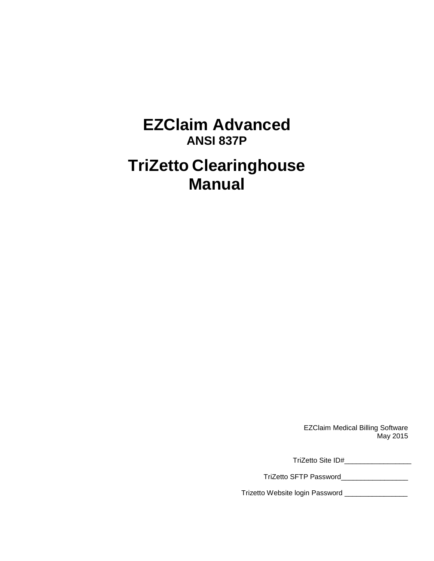# **EZClaim Advanced ANSI 837P**

# **TriZetto Clearinghouse Manual**

EZClaim Medical Billing Software May 2015

TriZetto Site ID#\_\_\_\_\_\_\_\_\_\_\_\_\_\_\_\_\_

TriZetto SFTP Password\_\_\_\_\_\_\_\_\_\_\_\_\_\_\_\_\_

Trizetto Website login Password \_\_\_\_\_\_\_\_\_\_\_\_\_\_\_\_\_\_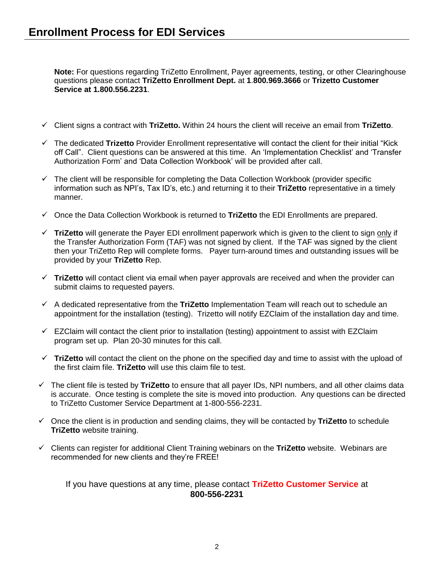**Note:** For questions regarding TriZetto Enrollment, Payer agreements, testing, or other Clearinghouse questions please contact **TriZetto Enrollment Dept.** at **1**.**800.969.3666** or **Trizetto Customer Service at 1.800.556.2231**.

- Client signs a contract with **TriZetto.** Within 24 hours the client will receive an email from **TriZetto**.
- The dedicated **Trizetto** Provider Enrollment representative will contact the client for their initial "Kick off Call". Client questions can be answered at this time. An 'Implementation Checklist' and 'Transfer Authorization Form' and 'Data Collection Workbook' will be provided after call.
- $\checkmark$  The client will be responsible for completing the Data Collection Workbook (provider specific information such as NPI's, Tax ID's, etc.) and returning it to their **TriZetto** representative in a timely manner.
- Once the Data Collection Workbook is returned to **TriZetto** the EDI Enrollments are prepared.
- **TriZetto** will generate the Payer EDI enrollment paperwork which is given to the client to sign only if the Transfer Authorization Form (TAF) was not signed by client. If the TAF was signed by the client then your TriZetto Rep will complete forms. Payer turn-around times and outstanding issues will be provided by your **TriZetto** Rep.
- **TriZetto** will contact client via email when payer approvals are received and when the provider can submit claims to requested payers.
- A dedicated representative from the **TriZetto** Implementation Team will reach out to schedule an appointment for the installation (testing). Trizetto will notify EZClaim of the installation day and time.
- $\checkmark$  EZClaim will contact the client prior to installation (testing) appointment to assist with EZClaim program set up. Plan 20-30 minutes for this call.
- $\checkmark$  TriZetto will contact the client on the phone on the specified day and time to assist with the upload of the first claim file. **TriZetto** will use this claim file to test.
- The client file is tested by **TriZetto** to ensure that all payer IDs, NPI numbers, and all other claims data is accurate. Once testing is complete the site is moved into production. Any questions can be directed to TriZetto Customer Service Department at 1-800-556-2231.
- Once the client is in production and sending claims, they will be contacted by **TriZetto** to schedule **TriZetto** website training.
- Clients can register for additional Client Training webinars on the **TriZetto** website. Webinars are recommended for new clients and they're FREE!

#### If you have questions at any time, please contact **TriZetto Customer Service** at **800-556-2231**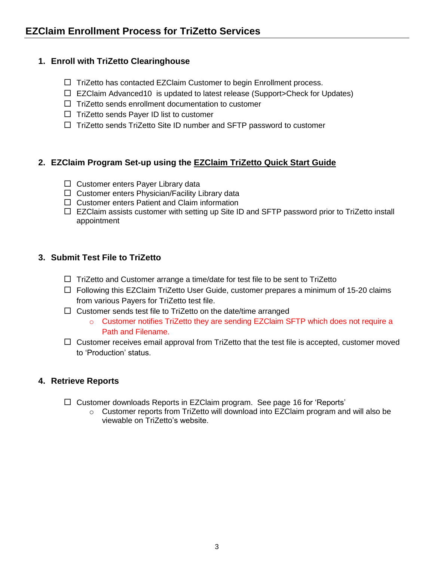### **1. Enroll with TriZetto Clearinghouse**

- $\Box$  TriZetto has contacted EZClaim Customer to begin Enrollment process.
- EZClaim Advanced10 is updated to latest release (Support>Check for Updates)
- $\Box$  TriZetto sends enrollment documentation to customer
- $\Box$  TriZetto sends Payer ID list to customer
- $\Box$  TriZetto sends TriZetto Site ID number and SFTP password to customer

### **2. EZClaim Program Set-up using the EZClaim TriZetto Quick Start Guide**

- $\Box$  Customer enters Payer Library data
- $\Box$  Customer enters Physician/Facility Library data
- □ Customer enters Patient and Claim information
- □ EZClaim assists customer with setting up Site ID and SFTP password prior to TriZetto install appointment

### **3. Submit Test File to TriZetto**

- $\Box$  TriZetto and Customer arrange a time/date for test file to be sent to TriZetto
- $\Box$  Following this EZClaim TriZetto User Guide, customer prepares a minimum of 15-20 claims from various Payers for TriZetto test file.
- $\Box$  Customer sends test file to TriZetto on the date/time arranged
	- $\circ$  Customer notifies TriZetto they are sending EZClaim SFTP which does not require a Path and Filename.
- $\Box$  Customer receives email approval from TriZetto that the test file is accepted, customer moved to 'Production' status.

### **4. Retrieve Reports**

- □ Customer downloads Reports in EZClaim program. See page [16](#page-15-0) for 'Reports'
	- $\circ$  Customer reports from TriZetto will download into EZClaim program and will also be viewable on TriZetto's website.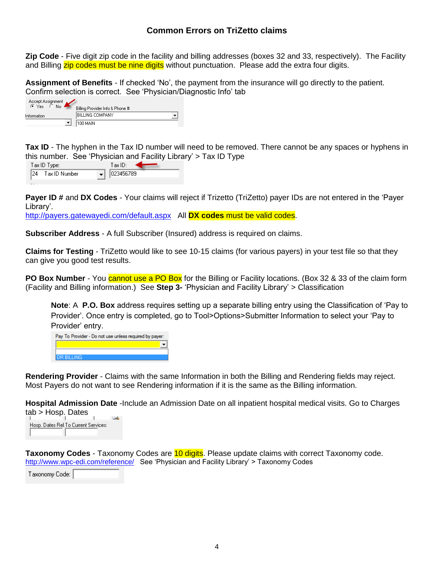### **Common Errors on TriZetto claims**

**Zip Code** - Five digit zip code in the facility and billing addresses (boxes 32 and 33, respectively). The Facility and Billing zip codes must be nine digits without punctuation. Please add the extra four digits.

**Assignment of Benefits** - If checked 'No', the payment from the insurance will go directly to the patient. Confirm selection is correct. See 'Physician/Diagnostic Info' tab

| Accept Assignment<br>$C$ Yes | No. | Billing Provider Info & Phone # |  |
|------------------------------|-----|---------------------------------|--|
| Information                  |     | BILLING COMPANY                 |  |
|                              |     | 100 MAIN                        |  |

**Tax ID** - The hyphen in the Tax ID number will need to be removed. There cannot be any spaces or hyphens in this number. See 'Physician and Facility Library' > Tax ID Type

| Tax ID Type:         | $\mathop{\text{Tax}}\nolimits\mathop{\text{ID:}}$ |
|----------------------|---------------------------------------------------|
| 124<br>Tax ID Number | $\bullet$   023456789                             |

**Payer ID #** and **DX Codes** - Your claims will reject if Trizetto (TriZetto) payer IDs are not entered in the 'Payer Library'.

<http://payers.gatewayedi.com/default.aspx> All **DX codes** must be valid codes.

**Subscriber Address** - A full Subscriber (Insured) address is required on claims.

**Claims for Testing** - TriZetto would like to see 10-15 claims (for various payers) in your test file so that they can give you good test results.

**PO Box Number** - You cannot use a PO Box for the Billing or Facility locations. (Box 32 & 33 of the claim form (Facility and Billing information.) See **Step 3-** 'Physician and Facility Library' > Classification

**Note**: A **P.O. Box** address requires setting up a separate billing entry using the Classification of 'Pay to Provider'. Once entry is completed, go to Tool>Options>Submitter Information to select your 'Pay to Provider' entry.

| Pay To Provider - Do not use unless required by payer: |  |  |  |  |
|--------------------------------------------------------|--|--|--|--|
|                                                        |  |  |  |  |
|                                                        |  |  |  |  |
| <b>DR BILLING</b>                                      |  |  |  |  |

**Rendering Provider** - Claims with the same Information in both the Billing and Rendering fields may reject. Most Payers do not want to see Rendering information if it is the same as the Billing information.

**Hospital Admission Date** -Include an Admission Date on all inpatient hospital medical visits. Go to Charges tab > Hosp. Dates



Taxonomy Codes - Taxonomy Codes are **10 digits**. Please update claims with correct Taxonomy code. <http://www.wpc-edi.com/reference/>See 'Physician and Facility Library' > Taxonomy Codes

Taxonomy Code: |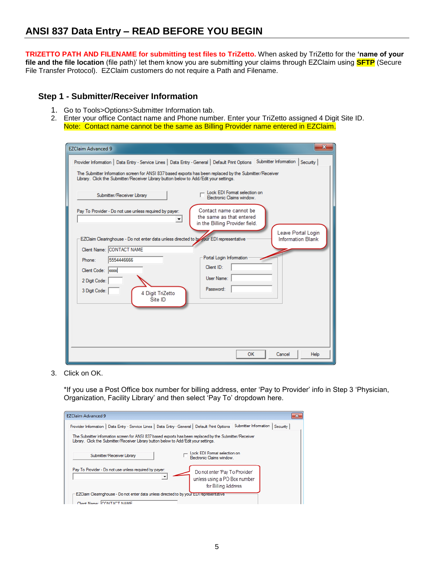**TRIZETTO PATH AND FILENAME for submitting test files to TriZetto.** When asked by TriZetto for the **'name of your file and the file location** (file path)' let them know you are submitting your claims through EZClaim using **SFTP** (Secure File Transfer Protocol). EZClaim customers do not require a Path and Filename.

### **Step 1 - Submitter/Receiver Information**

- 1. Go to Tools>Options>Submitter Information tab.
- 2. Enter your office Contact name and Phone number. Enter your TriZetto assigned 4 Digit Site ID. Note: Contact name cannot be the same as Billing Provider name entered in EZClaim.

| <b>EZClaim Advanced 9</b>                                                                                                                                                                                                                                                                                                    |                                                                                                            |
|------------------------------------------------------------------------------------------------------------------------------------------------------------------------------------------------------------------------------------------------------------------------------------------------------------------------------|------------------------------------------------------------------------------------------------------------|
| Provider Information   Data Entry - Service Lines   Data Entry - General   Default Print Options   Submitter Information<br>The Submitter Information screen for ANSI 837 based exports has been replaced by the Submitter/Receiver<br>Library. Click the Submitter/Receiver Library button below to Add/Edit your settings. | Security                                                                                                   |
| Submitter/Receiver Library                                                                                                                                                                                                                                                                                                   | Lock EDI Format selection on<br>Electronic Claims window.                                                  |
| Pay To Provider - Do not use unless required by payer:<br>$\blacktriangledown$                                                                                                                                                                                                                                               | Contact name cannot be<br>the same as that entered<br>in the Billing Provider field.<br>Leave Portal Login |
| EZClaim Clearinghouse - Do not enter data unless directed to by your EDI representative<br>Client Name: CONTACT NAME<br>5554446666<br>Phone:                                                                                                                                                                                 | <b>Information Blank</b><br>Portal Login Information                                                       |
| Client Code:   xxxx<br>2 Digit Code:<br>3 Digit Code:                                                                                                                                                                                                                                                                        | Client ID:<br>User Name:<br>Password:                                                                      |
| 4 Digit TriZetto<br>Site ID                                                                                                                                                                                                                                                                                                  |                                                                                                            |
|                                                                                                                                                                                                                                                                                                                              |                                                                                                            |
|                                                                                                                                                                                                                                                                                                                              | <b>OK</b><br>Cancel<br>Help                                                                                |

3. Click on OK.

\*If you use a Post Office box number for billing address, enter 'Pay to Provider' info in Step 3 'Physician, Organization, Facility Library' and then select 'Pay To' dropdown here.

| <b>EZClaim Advanced 9</b><br>$\mathbf{x}$                                                                                                                                                        |
|--------------------------------------------------------------------------------------------------------------------------------------------------------------------------------------------------|
| Submitter Information<br>Provider Information   Data Entry - Service Lines   Data Entry - General   Default Print Options<br>Security                                                            |
| The Submitter Information screen for ANSI 837 based exports has been replaced by the Submitter/Receiver<br>Library. Click the Submitter/Receiver Library button below to Add/Edit your settings. |
| Lock EDI Format selection on<br>Submitter/Receiver Library<br><b>Electronic Claims window</b>                                                                                                    |
| Pay To Provider - Do not use unless required by payer:<br>Do not enter 'Pay To Provider'<br>unless using a PO Box number<br>for Billing Address                                                  |
| EZClaim Clearinghouse - Do not enter data unless directed to by your EDI representative                                                                                                          |
| Client Name: CONTACT NAME                                                                                                                                                                        |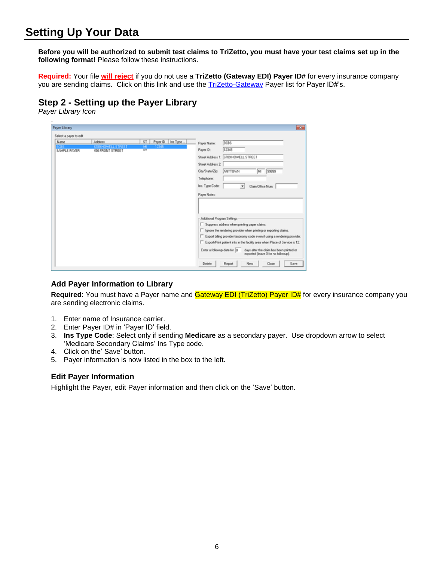## **Setting Up Your Data**

**Before you will be authorized to submit test claims to TriZetto, you must have your test claims set up in the following format!** Please follow these instructions.

**Required:** Your file **will reject** if you do not use a **TriZetto (Gateway EDI) Payer ID#** for every insurance company you are sending claims. Click on this link and use the [TriZetto-Gateway](http://payers.gatewayedi.com/default.aspx) Payer list for Payer ID#'s.

### **Step 2 - Setting up the Payer Library**

*Payer Library Icon*

| Payer Library          |                            |                                                                  | $\mathbf{x}$                                                                                                                                                                                                                                                                                                                                                                                                                   |
|------------------------|----------------------------|------------------------------------------------------------------|--------------------------------------------------------------------------------------------------------------------------------------------------------------------------------------------------------------------------------------------------------------------------------------------------------------------------------------------------------------------------------------------------------------------------------|
| Select a payer to edit |                            |                                                                  |                                                                                                                                                                                                                                                                                                                                                                                                                                |
| Name<br>SAMPLE PAYER   | Address<br>4% FRONT STREET | Payer ID Ins Type.<br>ST <sub>1</sub><br>M<br>12345<br><b>CT</b> | BCBS<br>Payer Name:<br>12345<br>Payer ID:<br>Street Address 1: 6789 HOWELL STREET<br>Street Address 2:<br>City/State/Zip:<br>ANYTOWN<br>99999<br>lм<br>Telephone:<br>Ins. Type Code:<br>$\blacksquare$<br>Claim Office Num:<br>Payer Notes:                                                                                                                                                                                    |
|                        |                            |                                                                  | Additional Program Settings<br>Suppress address when printing paper claims.<br>F Ignore the rendering provider when printing or exporting claims.<br>Export biling provider taxonomy code even if using a rendering provider.<br>Export/Print patient info in the facility area when Place of Service is 12.<br>Enter a followup date for 0<br>days after the claim has been printed or<br>exported (leave 0 for no followup). |

#### **Add Payer Information to Library**

Required: You must have a Payer name and **Gateway EDI (TriZetto) Payer ID#** for every insurance company you are sending electronic claims.

- 1. Enter name of Insurance carrier.
- 2. Enter Payer ID# in 'Payer ID' field.
- 3. **Ins Type Code**: Select only if sending **Medicare** as a secondary payer. Use dropdown arrow to select 'Medicare Secondary Claims' Ins Type code.
- 4. Click on the' Save' button.
- 5. Payer information is now listed in the box to the left.

#### **Edit Payer Information**

Highlight the Payer, edit Payer information and then click on the 'Save' button.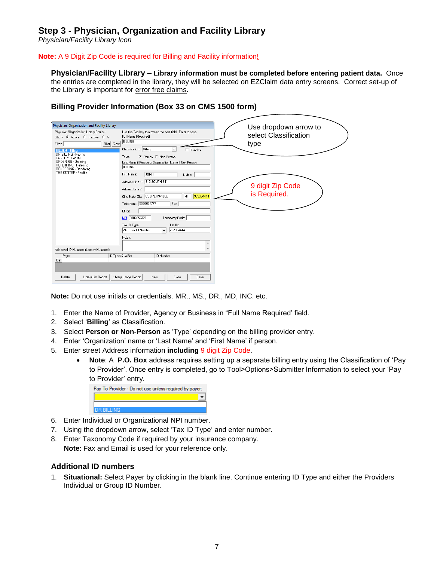### **Step 3 - Physician, Organization and Facility Library**

*Physician/Facility Library Icon*

#### **Note:** A 9 Digit Zip Code is required for Billing and Facility information!

**Physician/Facility Library – Library information must be completed before entering patient data.** Once the entries are completed in the library, they will be selected on EZClaim data entry screens. Correct set-up of the Library is important for error free claims.

| Physician, Organization and Facility Library                                                                                                                                                                                                                                      |                                                                                                                                                                                                                                                                                                                                                                                                                                                                                                                                                                                                  |                                                                                            |
|-----------------------------------------------------------------------------------------------------------------------------------------------------------------------------------------------------------------------------------------------------------------------------------|--------------------------------------------------------------------------------------------------------------------------------------------------------------------------------------------------------------------------------------------------------------------------------------------------------------------------------------------------------------------------------------------------------------------------------------------------------------------------------------------------------------------------------------------------------------------------------------------------|--------------------------------------------------------------------------------------------|
| Physician/Organization Library Entries:<br>Show: C Active C Inactive C All<br>Filter Clear<br>Filter:<br><b>BILLING - Billing</b><br>DR BILLING - Pay To<br>FACILITY - Facility<br>ORDERING - Ordering<br>REFERRING - Referring<br>RENDERING - Rendering<br>THE CENTER - Facility | Use the Tab key to move to the next field. Enter to save.<br>Full Name (Required)<br><b>BILLING</b><br>Classification: Billing<br>Inactive<br>$\overline{\phantom{a}}$<br>C Person C Non-Person<br>Type:<br>Last Name if Person or Organization Name if Non-Person<br><b>BILLING</b><br>First Name:<br><b>JOHN</b><br>Middle: i<br>Address Line 1: 313 SOUTH ST<br>Address Line 2:<br>999994444<br>City, State, Zip: COOPERSVILLE<br>lмı<br>Telephone: 5556667777<br>Fax:<br>EMail:<br>NPI 0987654321<br>Taxonomy Code:<br>Tax ID:<br>Tax ID Type:<br>222334444<br>Tax ID Number<br>24<br>Notes: | Use dropdown arrow to<br>select Classification<br>type<br>9 digit Zip Code<br>is Required. |
| Additional ID Numbers (Legacy Numbers):                                                                                                                                                                                                                                           |                                                                                                                                                                                                                                                                                                                                                                                                                                                                                                                                                                                                  |                                                                                            |
| Paver<br>Del                                                                                                                                                                                                                                                                      | ID Type/Qualifier<br>ID Number                                                                                                                                                                                                                                                                                                                                                                                                                                                                                                                                                                   |                                                                                            |
| Delete<br>Library List Report                                                                                                                                                                                                                                                     | Library Usage Report<br><b>New</b><br>Close<br>Save                                                                                                                                                                                                                                                                                                                                                                                                                                                                                                                                              |                                                                                            |

#### **Billing Provider Information (Box 33 on CMS 1500 form)**

**Note:** Do not use initials or credentials. MR., MS., DR., MD, INC. etc.

- 1. Enter the Name of Provider, Agency or Business in "Full Name Required' field.
- 2. Select '**Billing**' as Classification.
- 3. Select **Person or Non-Person** as 'Type' depending on the billing provider entry.
- 4. Enter 'Organization' name or 'Last Name' and 'First Name' if person.
- 5. Enter street Address information **including** 9 digit Zip Code.
	- **Note**: A **P.O. Box** address requires setting up a separate billing entry using the Classification of 'Pay to Provider'. Once entry is completed, go to Tool>Options>Submitter Information to select your 'Pay to Provider' entry.

| Pay To Provider - Do not use unless required by payer: |  |
|--------------------------------------------------------|--|
|                                                        |  |
|                                                        |  |
| <b>DR BILLING</b>                                      |  |

- 6. Enter Individual or Organizational NPI number.
- 7. Using the dropdown arrow, select 'Tax ID Type' and enter number.
- 8. Enter Taxonomy Code if required by your insurance company. **Note**: Fax and Email is used for your reference only.

#### **Additional ID numbers**

1. **Situational:** Select Payer by clicking in the blank line. Continue entering ID Type and either the Providers Individual or Group ID Number.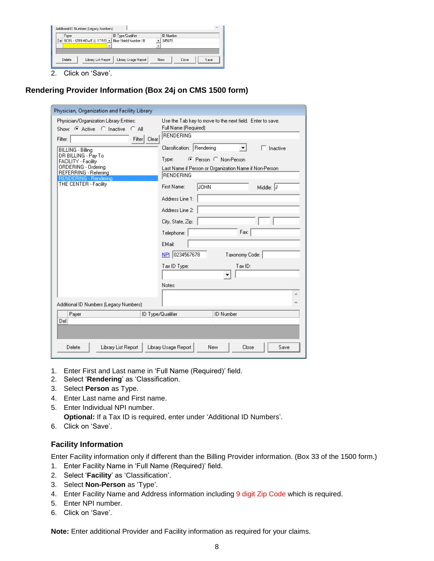| <b>ID Number</b><br>ID Type/Qualifier<br>Payer<br>Blue Shield Number-1B<br>Del BCBS - 6789 HOWELL STREI -<br>345678<br>۰<br>Library Usage Report<br>Library List Report<br>Delete<br>Close<br>New<br>Save | Additional ID Numbers (Legacy Numbers): |  |  | $\overline{\phantom{a}}$ |
|-----------------------------------------------------------------------------------------------------------------------------------------------------------------------------------------------------------|-----------------------------------------|--|--|--------------------------|
|                                                                                                                                                                                                           |                                         |  |  |                          |
|                                                                                                                                                                                                           |                                         |  |  |                          |
|                                                                                                                                                                                                           |                                         |  |  |                          |
|                                                                                                                                                                                                           |                                         |  |  |                          |
|                                                                                                                                                                                                           |                                         |  |  |                          |

2. Click on 'Save'.

#### **Rendering Provider Information (Box 24j on CMS 1500 form)**

| Physician, Organization and Facility Library                                                                                                                                                                                                                                                                            |                                                                                                                                                                                                                                                                                                                                                                                                                                                                                       |  |  |  |  |
|-------------------------------------------------------------------------------------------------------------------------------------------------------------------------------------------------------------------------------------------------------------------------------------------------------------------------|---------------------------------------------------------------------------------------------------------------------------------------------------------------------------------------------------------------------------------------------------------------------------------------------------------------------------------------------------------------------------------------------------------------------------------------------------------------------------------------|--|--|--|--|
| Physician/Organization Library Entries:<br>Show: C Active C Inactive C All<br>Filter   Clear<br>Filter:<br>BILLING - Billing<br>DR BILLING - Pay To<br>FACILITY - Facility<br>ORDERING - Ordering<br>REFERRING - Referring<br>RENDERING - Rendering<br>THE CENTER - Facility<br>Additional ID Numbers (Legacy Numbers): | Use the Tab key to move to the next field. Enter to save.<br>Full Name (Required)<br><b>IRENDERING</b><br>Classification: Rendering<br>$\Box$ Inactive<br>▾╎<br>C Person C Non-Person<br>Type:<br>Last Name if Person or Organization Name if Non-Person.<br><b>RENDERING</b><br>First Name:<br>JOHN<br>Middle: J<br>Address Line 1:<br>Address Line 2:<br>City, State, Zip:<br>Fax:<br>Telephone:<br>EMail:<br>NPI 0234567678<br>Taxonomy Code:<br>Tax ID:<br>Tax ID Type:<br>Notes: |  |  |  |  |
| Payer<br>ID Type/Qualifier                                                                                                                                                                                                                                                                                              | <b>ID Number</b>                                                                                                                                                                                                                                                                                                                                                                                                                                                                      |  |  |  |  |
| Del                                                                                                                                                                                                                                                                                                                     |                                                                                                                                                                                                                                                                                                                                                                                                                                                                                       |  |  |  |  |
|                                                                                                                                                                                                                                                                                                                         |                                                                                                                                                                                                                                                                                                                                                                                                                                                                                       |  |  |  |  |
| Delete<br>Library List Report                                                                                                                                                                                                                                                                                           | Library Usage Report<br>New<br>Close<br>Save                                                                                                                                                                                                                                                                                                                                                                                                                                          |  |  |  |  |

- 1. Enter First and Last name in 'Full Name (Required)' field.
- 2. Select '**Rendering**' as 'Classification.
- 3. Select **Person** as Type.
- 4. Enter Last name and First name.
- 5. Enter Individual NPI number. **Optional:** If a Tax ID is required, enter under 'Additional ID Numbers'.
- 6. Click on 'Save'.

#### **Facility Information**

Enter Facility information only if different than the Billing Provider information. (Box 33 of the 1500 form.)

- 1. Enter Facility Name in 'Full Name (Required)' field.
- 2. Select '**Facility**' as 'Classification'.
- 3. Select **Non-Person** as 'Type'.
- 4. Enter Facility Name and Address information including 9 digit Zip Code which is required.
- 5. Enter NPI number.
- 6. Click on 'Save'.

**Note:** Enter additional Provider and Facility information as required for your claims.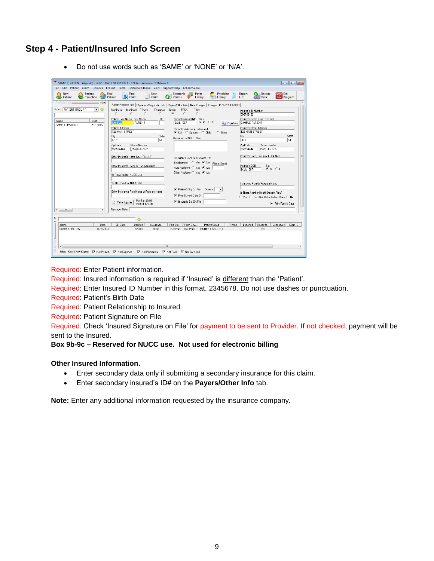### **Step 4 - Patient/Insured Info Screen**

|                                                                                    | SAMPLE, PATIENT (Age: 46) - 54321 - PATIENT GROUP 1 - EZClaim Advanced 9 Release 0<br>File Edit Patient Claim Libraries EZLink! Tools Electronic-Claims! View Support/Help EZClaim.com!                                                                                                                                                                                                                                                                                                                                                                                                                                                                                                                             |                                    |
|------------------------------------------------------------------------------------|---------------------------------------------------------------------------------------------------------------------------------------------------------------------------------------------------------------------------------------------------------------------------------------------------------------------------------------------------------------------------------------------------------------------------------------------------------------------------------------------------------------------------------------------------------------------------------------------------------------------------------------------------------------------------------------------------------------------|------------------------------------|
| New<br>Patient<br><b>Patient</b><br>Template                                       | Find<br>Find<br><b>New</b><br>Electronic<br>Payer<br>Physician<br>Report<br>Backup<br><b>IN</b> Claim<br>Patient<br>Claim<br>Data<br>Library<br>Library<br>List<br>Claims                                                                                                                                                                                                                                                                                                                                                                                                                                                                                                                                           | Exit<br>Program                    |
| : 回 ×<br>Patient List=                                                             | Patient/Insured Info   Physician/Diagnostic Info   Payers/Other Info   New Charges   Charges: 11/7/2013 \$70.00                                                                                                                                                                                                                                                                                                                                                                                                                                                                                                                                                                                                     |                                    |
| Group: PATIENT GROUP 1<br>回る<br><b>DOB</b><br>Name<br>SAMPLE, PATIENT<br>2/21/1967 | Group<br>Medicaid<br>Tricare<br>Champya<br><b>FECA</b><br>Medicare<br>Other<br>Insured's ID Number<br>$\sigma$<br>$\sim$<br>$\sim$<br>$\cap$<br>$\subset$<br>$\circ$<br>C<br>098765432<br>Patient Last Name First Name<br>Insured's Name (Last, First, MI)<br>MI<br>Patient Date of Birth Sex<br>$G$ M $C$ F<br><b>PATIENT</b><br>2/21/1967<br>SAMPLE PATIENT<br><b>SAMPLE</b><br><b>Ga</b> Copy Info<br>Patient Address<br>Insured's Street Address<br>Patient Relationship to Insured<br>123 MAIN STREET<br>123 MAIN STREET<br>C Self C Spouse C Child<br>$C$ Other<br>City<br>State<br>City<br>Reserved for NUCC Use<br><b>ST</b><br>larv<br><b>CITY</b><br>Phone Number<br>Zip Code<br>Zip Code<br>Phone Number | State<br>lsт                       |
|                                                                                    | (555) 666-7777<br>555554444<br>(555) 666-7777<br>555554444<br>Insured's Policy Group or FECA Num.<br>Other Insured's Name (Last, First, MI)<br>Is Patient's Condition Related To:<br>Employment C Yes + No Place (State)<br>Insured's DOB<br>Other Insured's Policy or Group Number<br>Sex<br>Auto Accident C Yes G No<br>$G$ M $C$ F<br>2/21/1967<br>Other Accident C Yes G No<br>9b Reserved for NUCC Use                                                                                                                                                                                                                                                                                                         |                                    |
| $\overline{\phantom{a}}$<br><b>ALL</b><br>k.                                       | <b>9c Reserved for NUCC Use</b><br>Insurance Plan Or Program Name<br>Patient's Sig On File<br>Source:<br>Other Insurance Plan Name or Program Name<br>Is There Another Health Benefit Plan?<br><b>▽</b> Print Current Date Or<br>C Yes C Yes - Not Reflected on Claim C No<br>Pat Bal: \$0.00<br>$\overline{\vee}$ Insured's Sig On File<br>Patient Notes<br>Ins Bal: \$70.00<br>Reminder Note:                                                                                                                                                                                                                                                                                                                     | V Print Form & Data                |
|                                                                                    |                                                                                                                                                                                                                                                                                                                                                                                                                                                                                                                                                                                                                                                                                                                     |                                    |
| N <sub>E</sub><br>Name<br>Date<br>SAMPLE, PATIENT<br>11/7/2013                     | Ò<br>Paid Stat.<br>Perm Sta<br>Printed<br>Exported  <br>Ready fo.<br><b>Bill Date</b><br><b>Bal Due</b><br>Patient Group<br>Insurance<br>\$70.00<br><b>BCBS</b><br>Not Paid<br>Not Perm PATIENT GROUP 1<br>Yes                                                                                                                                                                                                                                                                                                                                                                                                                                                                                                      | Claim ID<br>Secondary<br>No.<br>10 |
| $\blacktriangleleft$<br>Filters - Only Show Claims: My Not Printed My Not Exported | m.<br><b>▽</b> Not Permanent<br>$\nabla$ Not Paid<br><b>▽</b> Not Archived                                                                                                                                                                                                                                                                                                                                                                                                                                                                                                                                                                                                                                          |                                    |

Do not use words such as 'SAME' or 'NONE' or 'N/A'.

Required: Enter Patient information.

Required: Insured information is required if 'Insured' is different than the 'Patient'.

Required: Enter Insured ID Number in this format, 2345678. Do not use dashes or punctuation.

Required: Patient's Birth Date

Required: Patient Relationship to Insured

Required: Patient Signature on File

Required: Check 'Insured Signature on File' for payment to be sent to Provider. If not checked, payment will be sent to the Insured.

#### **Box 9b-9c – Reserved for NUCC use. Not used for electronic billing**

#### **Other Insured Information.**

- Enter secondary data only if submitting a secondary insurance for this claim.
- Enter secondary insured's ID# on the **Payers/Other Info** tab.

**Note:** Enter any additional information requested by the insurance company.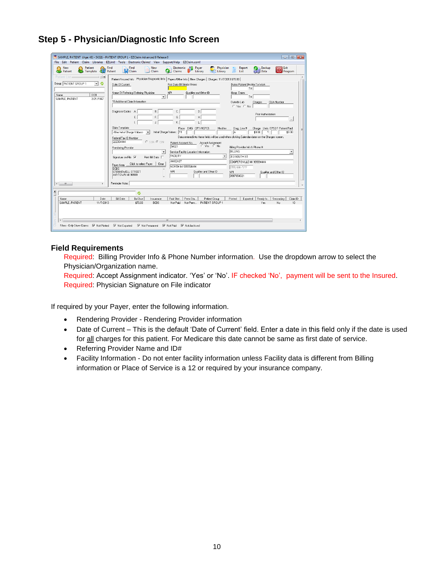

### **Step 5 - Physician/Diagnostic Info Screen**

#### **Field Requirements**

Required: Billing Provider Info & Phone Number information. Use the dropdown arrow to select the Physician/Organization name.

Required: Accept Assignment indicator. 'Yes' or 'No'. IF checked 'No', payment will be sent to the Insured. Required: Physician Signature on File indicator

If required by your Payer, enter the following information.

- Rendering Provider Rendering Provider information
- Date of Current This is the default 'Date of Current' field. Enter a date in this field only if the date is used for all charges for this patient. For Medicare this date cannot be same as first date of service.
- Referring Provider Name and ID#
- Facility Information Do not enter facility information unless Facility data is different from Billing information or Place of Service is a 12 or required by your insurance company.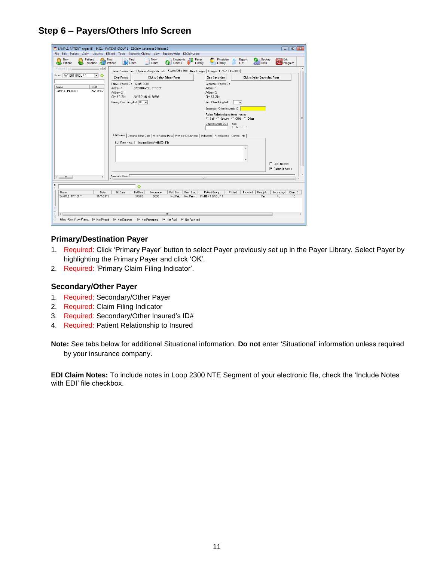### **Step 6 – Payers/Others Info Screen**

|                                                       | SAMPLE, PATIENT (Age: 46) - 54321 - PATIENT GROUP 1 - EZClaim Advanced 9 Release 0                                      |                                                                              |                            |
|-------------------------------------------------------|-------------------------------------------------------------------------------------------------------------------------|------------------------------------------------------------------------------|----------------------------|
| File Edit<br>Patient<br>Claim Libraries               | Support/Help EZClaim.com!<br>EZLink!<br>Tools Electronic Claims! View                                                   |                                                                              |                            |
| Patient<br>New<br>$\mathbf{a}$<br>Template<br>Patient | Find<br>Find<br>New<br>Electronic Le<br><b>IN</b> Claim<br>Patient<br>Claim<br>Claims                                   | Physician<br>Report<br>Backup<br>Payer<br>Library<br>Library<br>Data<br>List | Exit<br>$\odot$<br>Program |
| <b>Patient List</b><br><b>回×</b>                      | Patient/Insured Info   Physician/Diagnostic Info Payers/Other Info   New Charges   Charges: 11/7/2013 \$70.00           |                                                                              |                            |
| Group: PATIENT GROUP 1<br>۰<br>$\mathbf{r}$           | Clear Primary<br>Click to Select Primary Payer                                                                          | Click to Select Secondary Payer<br>Clear Secondary                           |                            |
| DOB<br>Name                                           | Primary Payer (ID): (12345) BCBS                                                                                        | Secondary Payer (ID):                                                        |                            |
| SAMPLE, PATIENT<br>2/21/1967                          | Address 1:<br>6789 HOWELL STREET<br>Address 2:                                                                          | Address 1:<br>Address 2:                                                     |                            |
|                                                       | ANYTOWN MI 99999<br>City, ST, Zip:                                                                                      | City, ST, Zip:                                                               |                            |
|                                                       | Primary Claim Filing Ind: BL -                                                                                          | Sec. Claim Filing Ind:<br>$\blacktriangledown$                               |                            |
|                                                       |                                                                                                                         | Secondary/Other Insured's ID:                                                |                            |
|                                                       |                                                                                                                         | Patient Relationship to Other Insured<br>C Self C Spouse C Child C Other     |                            |
|                                                       |                                                                                                                         | Other Insured's DOB<br>Sex<br>CMCF                                           |                            |
|                                                       |                                                                                                                         |                                                                              |                            |
|                                                       | EDI Notes   Optional Billing Data   Misc Patient Data   Provider ID Numbers   Indicators   Print Options   Contact Info |                                                                              |                            |
|                                                       | EDI Claim Note.     Include Notes With EDI File                                                                         |                                                                              |                            |
|                                                       |                                                                                                                         |                                                                              |                            |
|                                                       |                                                                                                                         |                                                                              |                            |
|                                                       |                                                                                                                         |                                                                              | Lock Record                |
|                                                       |                                                                                                                         |                                                                              | $\nabla$ Patient Is Active |
| m.<br>×.<br>$\overline{a}$                            | أستبلا ببادشته                                                                                                          |                                                                              |                            |
|                                                       |                                                                                                                         | m.                                                                           |                            |
| $\mathbf{x}$<br>$\Box$                                | ٥                                                                                                                       |                                                                              |                            |
| Name<br>Date                                          | <b>Bill Date</b><br>Paid Stat<br>Perm Sta.<br><b>Bal Due</b><br>Insurance                                               | Exported Ready fo.<br>Patient Group<br>Printed                               | Secondary<br>Claim ID      |
| SAMPLE, PATIENT<br>11/7/2013                          | \$70.00<br><b>BCBS</b><br>Not Paid<br>Not Perm                                                                          | PATIENT GROUP 1<br>Yes                                                       | No<br>10                   |
|                                                       |                                                                                                                         |                                                                              |                            |
| $\overline{a}$                                        | m.                                                                                                                      |                                                                              |                            |
| Filters - Only Show Claims:<br>$\nabla$ Not Printed   | <b>▽</b> Not Exported<br>$\nabla$ Not Paid<br><b>⊽</b> Not Permanent<br><b>▽</b> Not Archived                           |                                                                              |                            |
|                                                       |                                                                                                                         |                                                                              |                            |

#### **Primary/Destination Payer**

- 1. Required: Click 'Primary Payer' button to select Payer previously set up in the Payer Library. Select Payer by highlighting the Primary Payer and click 'OK'.
- 2. Required: 'Primary Claim Filing Indicator'.

#### **Secondary/Other Payer**

- 1. Required: Secondary/Other Payer
- 2. Required: Claim Filing Indicator
- 3. Required: Secondary/Other Insured's ID#
- 4. Required: Patient Relationship to Insured

**Note:** See tabs below for additional Situational information. **Do not** enter 'Situational' information unless required by your insurance company.

**EDI Claim Notes:** To include notes in Loop 2300 NTE Segment of your electronic file, check the 'Include Notes with EDI' file checkbox.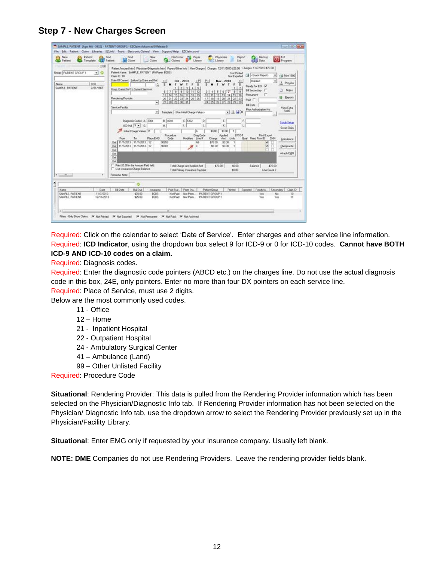**Step 7 - New Charges Screen**

| Patient<br>New<br>Template<br><b>CLE Patient</b><br>Patient                              | Find<br>Find<br>New<br>Electronic<br>大作<br>Payer<br>Physician.<br>Report<br>Backup<br>Si Est<br>O Program<br><b>Del</b> Claim<br>Data<br>Claim<br>Library<br><b>mi : Library</b><br>Claims<br>List                                                                                                                                                                                                                                                                                                                                                                                                                                                                                                                                                                                                                                                                                                                                                                                                                                                                                                                                                                                                                                                                                                                                                                                                                                                                                                                                                                                                                                                                                                                                                                                                                                                                                                                                                                                                                                                                                                            |
|------------------------------------------------------------------------------------------|---------------------------------------------------------------------------------------------------------------------------------------------------------------------------------------------------------------------------------------------------------------------------------------------------------------------------------------------------------------------------------------------------------------------------------------------------------------------------------------------------------------------------------------------------------------------------------------------------------------------------------------------------------------------------------------------------------------------------------------------------------------------------------------------------------------------------------------------------------------------------------------------------------------------------------------------------------------------------------------------------------------------------------------------------------------------------------------------------------------------------------------------------------------------------------------------------------------------------------------------------------------------------------------------------------------------------------------------------------------------------------------------------------------------------------------------------------------------------------------------------------------------------------------------------------------------------------------------------------------------------------------------------------------------------------------------------------------------------------------------------------------------------------------------------------------------------------------------------------------------------------------------------------------------------------------------------------------------------------------------------------------------------------------------------------------------------------------------------------------|
| 13.80<br>Group: PATIENT GROUP 1<br>≛<br>۰<br>008<br>Name<br>SAMPLE, PATIENT<br>2/21/1967 | Patent/Insured Info   Physician/Diagnostic Info   Payers/Other Info   New Charges   Charges 12/11/2013 \$25.00 Charges 11/7/2013 \$70.00<br>Patent Name: SAMPLE, PATIENT (Pii Payer, BCBS)<br>Not Printed<br>Call <duck report=""><br/>×<br/><b>Ed Eve 1500</b><br/>Claim ID: 10<br/><b>Not Exported</b><br/>Date Of Current: Eplow Up Date and Ref.<br/>ec<br/>Urbited<br/>Nev - 2013<br/><math display="inline">&gt;</math><br/><math>\overline{z}</math><br/><b>Det - 2013</b><br/><b>1</b> Preview<br/>s<br/>s<br/>s<br/>s<br/>ж<br/>w<br/>F<br/>х<br/>w<br/>п<br/>Ready For EDI N<br/>31415<br/>2.1<br/>Hosp. Dates Rel To Curent Services:<br/><b>Bill Secondary</b> [<br/>Notes:<br/>Ð<br/>9 10 11 12<br/>3145677<br/>61788<br/><math>-9</math><br/>Pennanent<br/>13 14 15 16 17 10 19<br/>10 11 12 13 14 15 16<br/>U3 Beports<br/>Rendering Provider<br/>20 21 22 23 24<br/>17 10 19 20 21 22 23<br/>25126<br/>Paid IT<br/><math>27128</math> <math>29130</math> 31<br/>24 25 26 27 28 29 30<br/>۰<br/>Bill Date<br/>Service Facility<br/>View Eyes<br/>Prior Authorization No.<br/>Fields<br/>Template: CUse Initial Charge Values&gt;<br/><math>-14X</math><br/><math>\cdot</math><br/>Diagnosis Codes: A 2004<br/>B. 6610<br/>C.15362<br/>D.<br/>ε<br/>Solub Selup<br/><math>100</math> and <math>3 - 6</math><br/>R.<br/>Scrub Claim<br/>Initial Charge Visitues 111<br/>\$001<br/>\$0.00<br/>т<br/>EPSDT<br/>Pint/Export<br/>Diag Code<br/><b>Applied</b><br/>Procedure<br/>Tel.<br/>Place EMG<br/>Code<br/>Modifiers Line #<br/>Qual Rend Prov ID<br/>CMV<br/><b>Apst</b><br/>Units<br/>From<br/>Charge<br/>Ambulance<br/>11/7/2013 11/7/2013 12<br/>90953<br/>AR<br/>\$70.00<br/>\$0.00<br/>v<br/>Del I<br/><math>\mathbf{I}</math><br/>11/7/2013 11/7/2013 12<br/>90801<br/>\$0.00<br/>Del<br/>\$0.00<br/><math>\mathbf{I}</math><br/>c<br/>×<br/>Despuello<br/>я<br/>Del<br/>Attach CMN<br/>Del<br/>Deli<br/>Del<br/>Pint \$0.00 in the Amount Paid field.<br/>\$70.00<br/>Total Charge and Applied Ant<br/>\$0.00<br/>Balance<br/>\$70.00<br/><b>T. Use Insurance Charge Salance</b></duck> |
| <b>Classification</b>                                                                    | Total Primary Insurance Payment<br>\$0.00<br>Line Count 2<br>Reninder Note:                                                                                                                                                                                                                                                                                                                                                                                                                                                                                                                                                                                                                                                                                                                                                                                                                                                                                                                                                                                                                                                                                                                                                                                                                                                                                                                                                                                                                                                                                                                                                                                                                                                                                                                                                                                                                                                                                                                                                                                                                                   |
|                                                                                          |                                                                                                                                                                                                                                                                                                                                                                                                                                                                                                                                                                                                                                                                                                                                                                                                                                                                                                                                                                                                                                                                                                                                                                                                                                                                                                                                                                                                                                                                                                                                                                                                                                                                                                                                                                                                                                                                                                                                                                                                                                                                                                               |
| Date<br>Mane                                                                             | Bill Date<br>Paid Stat<br>Exported Ready to:<br><b>Bal Due</b><br><b>Parm Sta.</b><br>Patient Group<br>Printed<br>Secondary<br>Claim ID<br>Insurance                                                                                                                                                                                                                                                                                                                                                                                                                                                                                                                                                                                                                                                                                                                                                                                                                                                                                                                                                                                                                                                                                                                                                                                                                                                                                                                                                                                                                                                                                                                                                                                                                                                                                                                                                                                                                                                                                                                                                          |
| SAMPLE, PATIENT<br>11/7/2013<br>SAMPLE, PATIENT<br>12/11/2013                            | Not Peim.<br>No<br>\$70.00<br>BCBS<br>Not Paid<br>PATIENT GROUP 1<br>10<br>Yer<br>\$25.00<br><b>DCBS</b><br>Not Pasm.<br>PATIENT GROUP 1<br>Yes<br>11<br>Not Paid<br>Yes                                                                                                                                                                                                                                                                                                                                                                                                                                                                                                                                                                                                                                                                                                                                                                                                                                                                                                                                                                                                                                                                                                                                                                                                                                                                                                                                                                                                                                                                                                                                                                                                                                                                                                                                                                                                                                                                                                                                      |
|                                                                                          |                                                                                                                                                                                                                                                                                                                                                                                                                                                                                                                                                                                                                                                                                                                                                                                                                                                                                                                                                                                                                                                                                                                                                                                                                                                                                                                                                                                                                                                                                                                                                                                                                                                                                                                                                                                                                                                                                                                                                                                                                                                                                                               |

Required: Click on the calendar to select 'Date of Service'. Enter charges and other service line information. Required: **ICD Indicator**, using the dropdown box select 9 for ICD-9 or 0 for ICD-10 codes. **Cannot have BOTH ICD-9 AND ICD-10 codes on a claim.**

Required: Diagnosis codes.

Required: Enter the diagnostic code pointers (ABCD etc.) on the charges line. Do not use the actual diagnosis code in this box, 24E, only pointers. Enter no more than four DX pointers on each service line.

Required: Place of Service, must use 2 digits.

Below are the most commonly used codes.

- 11 Office
- 12 Home
- 21 Inpatient Hospital
- 22 Outpatient Hospital
- 24 Ambulatory Surgical Center
- 41 Ambulance (Land)
- 99 Other Unlisted Facility

Required: Procedure Code

**Situational**: Rendering Provider: This data is pulled from the Rendering Provider information which has been selected on the Physician/Diagnostic Info tab. If Rendering Provider information has not been selected on the Physician/ Diagnostic Info tab, use the dropdown arrow to select the Rendering Provider previously set up in the Physician/Facility Library.

**Situational**: Enter EMG only if requested by your insurance company. Usually left blank.

**NOTE: DME** Companies do not use Rendering Providers. Leave the rendering provider fields blank.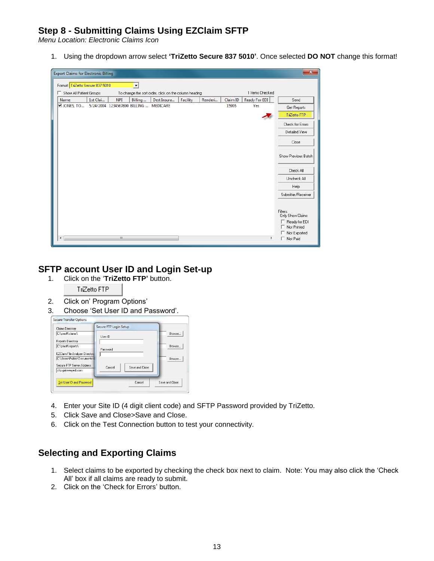### **Step 8 - Submitting Claims Using EZClaim SFTP**

*Menu Location: Electronic Claims Icon*

1. Using the dropdown arrow select **'TriZetto Secure 837 5010'**. Once selected **DO NOT** change this format!

| Format: TriZetto Secure 837 5010<br>$\blacktriangledown$<br>1 Items Checked<br>Show All Patient Groups<br>To change the sort order, click on the column heading<br>Dest Insura<br>Ready For EDI<br>1st Clai<br><b>NPI</b><br>Billing<br>Facility<br>Renderi<br>Claim ID<br>Name<br>Send<br>$\square$ JONES, TO<br>5/24/2004 1234567890 BILLING  MEDICARE<br>15905<br>Yes<br>Get Reports<br>TriZetto FTP<br>Check for Errors<br>Detailed View<br>Close<br>Show Previous Batch<br>Check All<br>Uncheck All<br>Help<br>Submitter/Receiver<br>Filters:<br>Only Show Claims<br>Ready for EDI<br>Not Printed | $\mathbf{x}$<br><b>Export Claims for Electronic Billing</b> |  |  |  |  |  |  |  |  |  |
|--------------------------------------------------------------------------------------------------------------------------------------------------------------------------------------------------------------------------------------------------------------------------------------------------------------------------------------------------------------------------------------------------------------------------------------------------------------------------------------------------------------------------------------------------------------------------------------------------------|-------------------------------------------------------------|--|--|--|--|--|--|--|--|--|
|                                                                                                                                                                                                                                                                                                                                                                                                                                                                                                                                                                                                        |                                                             |  |  |  |  |  |  |  |  |  |
|                                                                                                                                                                                                                                                                                                                                                                                                                                                                                                                                                                                                        |                                                             |  |  |  |  |  |  |  |  |  |
|                                                                                                                                                                                                                                                                                                                                                                                                                                                                                                                                                                                                        |                                                             |  |  |  |  |  |  |  |  |  |
|                                                                                                                                                                                                                                                                                                                                                                                                                                                                                                                                                                                                        |                                                             |  |  |  |  |  |  |  |  |  |
|                                                                                                                                                                                                                                                                                                                                                                                                                                                                                                                                                                                                        |                                                             |  |  |  |  |  |  |  |  |  |
|                                                                                                                                                                                                                                                                                                                                                                                                                                                                                                                                                                                                        |                                                             |  |  |  |  |  |  |  |  |  |
|                                                                                                                                                                                                                                                                                                                                                                                                                                                                                                                                                                                                        |                                                             |  |  |  |  |  |  |  |  |  |
|                                                                                                                                                                                                                                                                                                                                                                                                                                                                                                                                                                                                        |                                                             |  |  |  |  |  |  |  |  |  |
|                                                                                                                                                                                                                                                                                                                                                                                                                                                                                                                                                                                                        |                                                             |  |  |  |  |  |  |  |  |  |
|                                                                                                                                                                                                                                                                                                                                                                                                                                                                                                                                                                                                        |                                                             |  |  |  |  |  |  |  |  |  |
|                                                                                                                                                                                                                                                                                                                                                                                                                                                                                                                                                                                                        |                                                             |  |  |  |  |  |  |  |  |  |
|                                                                                                                                                                                                                                                                                                                                                                                                                                                                                                                                                                                                        |                                                             |  |  |  |  |  |  |  |  |  |
|                                                                                                                                                                                                                                                                                                                                                                                                                                                                                                                                                                                                        |                                                             |  |  |  |  |  |  |  |  |  |
| □ Not Exported                                                                                                                                                                                                                                                                                                                                                                                                                                                                                                                                                                                         |                                                             |  |  |  |  |  |  |  |  |  |
| m.<br>$\Box$ Not Paid<br>k,<br>۰                                                                                                                                                                                                                                                                                                                                                                                                                                                                                                                                                                       |                                                             |  |  |  |  |  |  |  |  |  |

### **SFTP account User ID and Login Set-up**

1. Click on the '**TriZetto FTP'** button.



- 2. Click on' Program Options'
- 3. Choose 'Set User ID and Password'.

| Claims Directory                | Secure FTP Login Setup   |                |
|---------------------------------|--------------------------|----------------|
| C:\pmsft\claims\                | Liser ID                 | Browse         |
| <b>Reports Directory</b>        |                          |                |
| C:\pmsft\reports\               | Password                 | Browse         |
| EZClaim File Analyzer Directory |                          |                |
| C:\Users\Public\Documents\      |                          | Browse         |
| Secure FTP Server Address:      | Save and Close<br>Cancel |                |
| sftp.gatewayedi.com             |                          |                |
| Set User ID and Password        | Cancel                   | Save and Close |

- 4. Enter your Site ID (4 digit client code) and SFTP Password provided by TriZetto.
- 5. Click Save and Close>Save and Close.
- 6. Click on the Test Connection button to test your connectivity.

### **Selecting and Exporting Claims**

- 1. Select claims to be exported by checking the check box next to claim. Note: You may also click the 'Check All' box if all claims are ready to submit.
- 2. Click on the 'Check for Errors' button.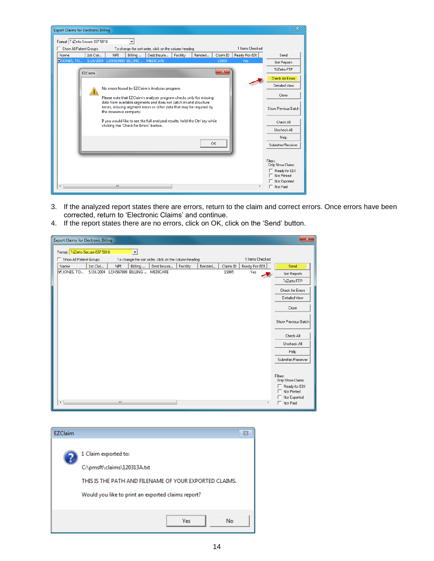

3. If the analyzed report states there are errors, return to the claim and correct errors. Once errors have been corrected, return to 'Electronic Claims' and continue.

| <b>Export Claims for Electronic Billing</b> |                                                                                                     |                                        |         |             |          |         |          |               | $\mathbf{x}$                                                                                        |
|---------------------------------------------|-----------------------------------------------------------------------------------------------------|----------------------------------------|---------|-------------|----------|---------|----------|---------------|-----------------------------------------------------------------------------------------------------|
|                                             | Format: TriZetto Secure 837 5010<br>$\overline{\phantom{a}}$                                        |                                        |         |             |          |         |          |               |                                                                                                     |
|                                             | 1 Items Checked<br>Show All Patient Groups<br>To change the sort order, click on the column heading |                                        |         |             |          |         |          |               |                                                                                                     |
| Name                                        | 1st Clai                                                                                            | <b>NPI</b>                             | Billing | Dest Insura | Facility | Renderi | Claim ID | Ready For EDI | Send                                                                                                |
| $\Box$ JONES, TO                            |                                                                                                     | 5/24/2004 1234567890 BILLING  MEDICARE |         |             |          |         | 15905    | Yes           | Get Reports                                                                                         |
|                                             |                                                                                                     |                                        |         |             |          |         |          |               | TriZetto FTP                                                                                        |
|                                             |                                                                                                     |                                        |         |             |          |         |          |               | Check for Errors                                                                                    |
|                                             |                                                                                                     |                                        |         |             |          |         |          |               | Detailed View                                                                                       |
|                                             |                                                                                                     |                                        |         |             |          |         |          |               | Close                                                                                               |
|                                             |                                                                                                     |                                        |         |             |          |         |          |               | Show Previous Batch                                                                                 |
|                                             |                                                                                                     |                                        |         |             |          |         |          |               | Check All                                                                                           |
|                                             |                                                                                                     |                                        |         |             |          |         |          |               | Uncheck All                                                                                         |
|                                             |                                                                                                     |                                        |         |             |          |         |          |               | Help                                                                                                |
|                                             |                                                                                                     |                                        |         |             |          |         |          |               | Submitter/Receiver                                                                                  |
| ∢                                           |                                                                                                     | $\mathbf{m}$                           |         |             |          |         |          | ۰             | Filters:<br>Only Show Claims<br>F Ready for EDI<br>Not Printed<br>□ Not Exported<br>$\Box$ Not Paid |

4. If the report states there are no errors, click on OK, click on the 'Send' button.

| <b>EZClaim</b> | Σ3                                                                                                                                                                  |
|----------------|---------------------------------------------------------------------------------------------------------------------------------------------------------------------|
|                | 1 Claim exported to:<br>C:\pmsft\claims\120313A.txt<br>THIS IS THE PATH AND FILENAME OF YOUR EXPORTED CLAIMS.<br>Would you like to print an exported claims report? |
|                | <b>Yes</b><br>No                                                                                                                                                    |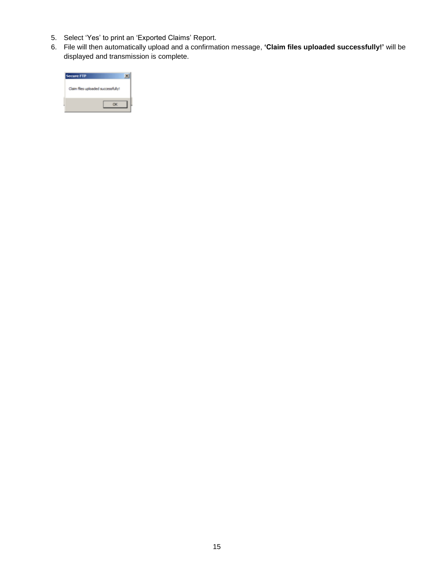- 5. Select 'Yes' to print an 'Exported Claims' Report.
- 6. File will then automatically upload and a confirmation message, **'Claim files uploaded successfully!'** will be displayed and transmission is complete.

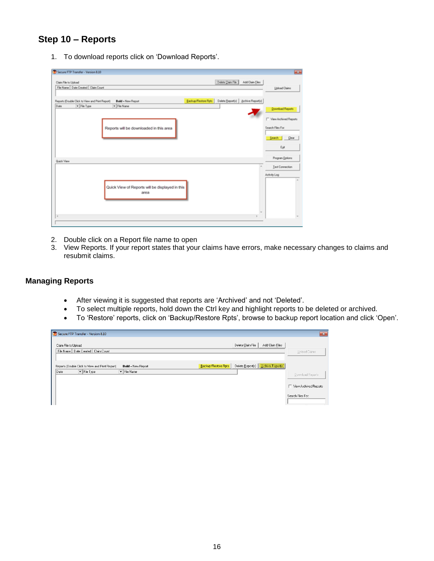### <span id="page-15-0"></span>**Step 10 – Reports**

1. To download reports click on 'Download Reports'.

| Secure FTP Transfer - Version 8.10                                                                                                                                               | $\frac{1}{2}$                                                                                |
|----------------------------------------------------------------------------------------------------------------------------------------------------------------------------------|----------------------------------------------------------------------------------------------|
| Delete Dain File<br>Add Claim Eiles<br>Claim File to Upload<br>File Name   Date Created   Claim Count                                                                            | Upload Claims                                                                                |
| Backup/Restore Rpts   Delete Beport(s)   Archive Report(s)  <br>Reports (Double Click to View and Print Report)<br><b>Bold - New Report</b><br>Date<br>- File Type<br>v Fão Name |                                                                                              |
| Reports will be downloaded in this area                                                                                                                                          | <b>Download Reports</b><br>T View Archived Reports<br>Search Files For<br>Search Dear<br>Est |
| Quick View                                                                                                                                                                       | Program Dotions<br>Test Connection                                                           |
|                                                                                                                                                                                  | Activity Log                                                                                 |
| Quick View of Reports will be displayed in this<br>area                                                                                                                          |                                                                                              |
|                                                                                                                                                                                  |                                                                                              |

- 2. Double click on a Report file name to open
- 3. View Reports. If your report states that your claims have errors, make necessary changes to claims and resubmit claims.

#### **Managing Reports**

- After viewing it is suggested that reports are 'Archived' and not 'Deleted'.
- To select multiple reports, hold down the Ctrl key and highlight reports to be deleted or archived.
- To 'Restore' reports, click on 'Backup/Restore Rpts', browse to backup report location and click 'Open'.

| Secure FTP Transfer - Version 8.10                                                                                                                                                                                       | $\mathbf{x}$            |
|--------------------------------------------------------------------------------------------------------------------------------------------------------------------------------------------------------------------------|-------------------------|
| Add Claim Files<br>Delete Claim File<br>Claim File to Upload<br>File Name   Date Created   Claim Count                                                                                                                   | Upload Claims           |
| Delete Report(s)   [Archive Report[s]]<br>Backup/Restore Rpts<br>Reports (Double Click to View and Print Report)<br><b>Bold = New Report</b><br>$\boxed{\mathbf{v}}$ File Type<br>$\boxed{\mathbf{v}}$ File Name<br>Date | Download Reports        |
|                                                                                                                                                                                                                          | □ View Archived Reports |
|                                                                                                                                                                                                                          | Search Files For:       |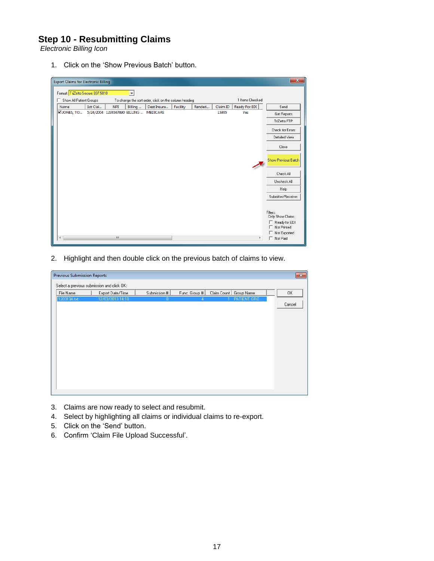### **Step 10 - Resubmitting Claims**

*Electronic Billing Icon*

1. Click on the 'Show Previous Batch' button.

| $\mathbf{x}$<br><b>Export Claims for Electronic Billing</b>                                                          |                                                                                                     |                                        |  |  |  |  |       |     |                                                                              |
|----------------------------------------------------------------------------------------------------------------------|-----------------------------------------------------------------------------------------------------|----------------------------------------|--|--|--|--|-------|-----|------------------------------------------------------------------------------|
| Format: TriZetto Secure 837 5010                                                                                     |                                                                                                     |                                        |  |  |  |  |       |     |                                                                              |
| п                                                                                                                    | 1 Items Checked<br>Show All Patient Groups<br>To change the sort order, click on the column heading |                                        |  |  |  |  |       |     |                                                                              |
| Ready For EDI<br>1st Clai<br><b>NPI</b><br>Billing<br>Dest Insura<br>Facility<br>Claim ID<br>Name<br>Renderi<br>Send |                                                                                                     |                                        |  |  |  |  |       |     |                                                                              |
| $\square$ JONES, TO                                                                                                  |                                                                                                     | 5/24/2004 1234567890 BILLING  MEDICARE |  |  |  |  | 15905 | Yes | Get Reports                                                                  |
|                                                                                                                      |                                                                                                     |                                        |  |  |  |  |       |     | TriZetto FTP                                                                 |
|                                                                                                                      |                                                                                                     |                                        |  |  |  |  |       |     | Check for Errors                                                             |
|                                                                                                                      |                                                                                                     |                                        |  |  |  |  |       |     | Detailed View                                                                |
|                                                                                                                      |                                                                                                     |                                        |  |  |  |  |       |     | Close                                                                        |
|                                                                                                                      |                                                                                                     |                                        |  |  |  |  |       |     | <b>Show Previous Batch</b>                                                   |
|                                                                                                                      |                                                                                                     |                                        |  |  |  |  |       |     | Check All                                                                    |
|                                                                                                                      |                                                                                                     |                                        |  |  |  |  |       |     | Uncheck All                                                                  |
|                                                                                                                      |                                                                                                     |                                        |  |  |  |  |       |     | Help                                                                         |
|                                                                                                                      |                                                                                                     |                                        |  |  |  |  |       |     | Submitter/Receiver                                                           |
|                                                                                                                      |                                                                                                     |                                        |  |  |  |  |       |     | Filters:<br>Only Show Claims<br>Ready for EDI<br>Not Printed<br>Not Exported |
|                                                                                                                      |                                                                                                     | $\mathbf{m}$                           |  |  |  |  |       | ۱   | Not Paid<br>г                                                                |

2. Highlight and then double click on the previous batch of claims to view.



- 3. Claims are now ready to select and resubmit.
- 4. Select by highlighting all claims or individual claims to re-export.
- 5. Click on the 'Send' button.
- 6. Confirm 'Claim File Upload Successful'.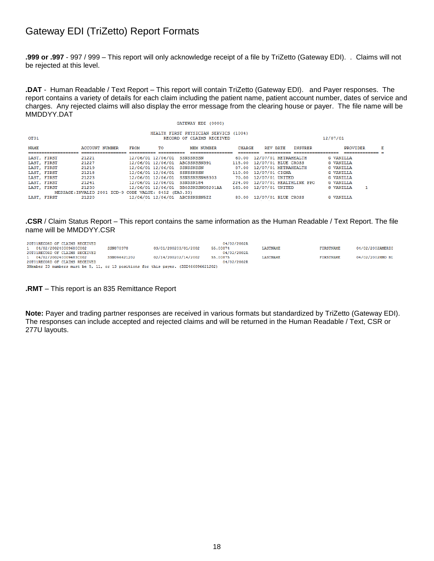### Gateway EDI (TriZetto) Report Formats

**.999 or .997** - 997 / 999 – This report will only acknowledge receipt of a file by TriZetto (Gateway EDI). . Claims will not be rejected at this level.

**.DAT** - Human Readable / Text Report – This report will contain TriZetto (Gateway EDI). and Payer responses. The report contains a variety of details for each claim including the patient name, patient account number, dates of service and charges. Any rejected claims will also display the error message from the clearing house or payer. The file name will be MMDDYY.DAT

|                                                       | HEALTH FIRST PHYSICIAN SERVICS (1004) |                |                   |  |                   |               |                       |                                |                   |                |  |
|-------------------------------------------------------|---------------------------------------|----------------|-------------------|--|-------------------|---------------|-----------------------|--------------------------------|-------------------|----------------|--|
| OT <sub>01</sub>                                      | 12/07/01<br>RECORD OF CLAIMS RECEIVED |                |                   |  |                   |               |                       |                                |                   |                |  |
| <b>NAME</b>                                           |                                       | ACCOUNT NUMBER | TO<br><b>FROM</b> |  | <b>MEM NUMBER</b> | <b>CHARGE</b> | REV DATE              | INSURER                        |                   | PROVIDER       |  |
|                                                       | ------------------                    |                |                   |  | ________________  | --------      |                       |                                | _________________ | -------------- |  |
|                                                       | LAST, FIRST                           | 21221          | 12/06/01 12/06/01 |  | <b>SSNSSNSSN</b>  |               |                       | 60.00 12/07/01 METRAHEALTH     | <b>G VANILLA</b>  |                |  |
|                                                       | LAST, FIRST                           | 21227          | 12/06/01 12/06/01 |  | ABCSSNSSN391      |               |                       | 115.00 12/07/01 BLUE CROSS     | <b>G VANILLA</b>  |                |  |
|                                                       | LAST, FIRST                           | 21219          | 12/06/01 12/06/01 |  | SSNSSNSSN         |               |                       | 87.00 12/07/01 METRAHEALTH     | <b>G VANILLA</b>  |                |  |
|                                                       | LAST, FIRST                           | 21218          | 12/06/01 12/06/01 |  | SSNSSNSSN         |               | 110.00 12/07/01 CIGNA |                                | <b>G VANILLA</b>  |                |  |
|                                                       | LAST. FIRST                           | 21223          | 12/06/01 12/06/01 |  | SSNSSNSSN48303    |               | 70.00 12/07/01 UNITED |                                | <b>G VANILLA</b>  |                |  |
|                                                       | LAST, FIRST                           | 21241          | 12/06/01 12/06/01 |  | SSNSSN184         |               |                       | 224.00 12/07/01 HEALTHLINK PPO | <b>G VANILLA</b>  |                |  |
|                                                       | LAST, FIRST                           | 21230          | 12/06/01 12/06/01 |  | BB0SSNSSN08201AA  | 165.00        | 12/07/01 UNITED       |                                | <b>G VANILLA</b>  |                |  |
| MESSAGE: INVALID 2001 ICD-9 CODE VALUE: 8452 (EA0.33) |                                       |                |                   |  |                   |               |                       |                                |                   |                |  |
|                                                       | LAST, FIRST                           | 21220          | 12/06/01 12/06/01 |  | ABCSSNSSN5ZZ      |               |                       | 80.00 12/07/01 BLUE CROSS      | <b>G VANILLA</b>  |                |  |

GATEWAY EDI (0000)

#### **.CSR** / Claim Status Report – This report contains the same information as the Human Readable / Text Report. The file name will be MMDDYY.CSR

| 20T01RECORD OF CLAIMS RECEIVED                                                      |              |                      | 04/02/2002A |                 |                  |                  |
|-------------------------------------------------------------------------------------|--------------|----------------------|-------------|-----------------|------------------|------------------|
| 1 04/02/200240009680C002                                                            | SSN878978    | 03/01/200203/01/2002 | 55,00874    | <b>LASTNAME</b> | <b>FIRSTNAME</b> | 04/02/2002AMERIG |
| 20T01RECORD OF CLAIMS RECEIVED                                                      |              |                      | 04/02/2002A |                 |                  |                  |
| 1 04/02/200240009683C002                                                            | SSN096621202 | 02/14/200202/14/2002 | 55,00875    | LASTNAME        | <b>FIRSTNAME</b> | 04/02/2002HMO BL |
| 20T01RECORD OF CLAIMS RECEIVED                                                      |              |                      | 04/02/2002R |                 |                  |                  |
| 3Member ID numbers must be 9, 11, or 13 positions for this payer. (2G2466096621202) |              |                      |             |                 |                  |                  |

#### **.RMT** – This report is an 835 Remittance Report

**Note:** Payer and trading partner responses are received in various formats but standardized by TriZetto (Gateway EDI). The responses can include accepted and rejected claims and will be returned in the Human Readable / Text, CSR or 277U layouts.